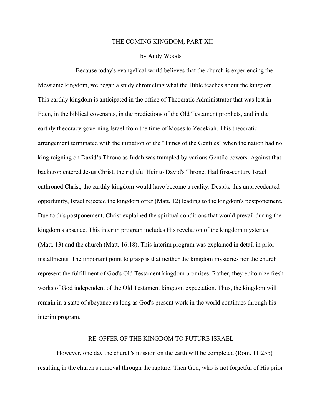## THE COMING KINGDOM, PART XII

## by Andy Woods

Because today's evangelical world believes that the church is experiencing the Messianic kingdom, we began a study chronicling what the Bible teaches about the kingdom. This earthly kingdom is anticipated in the office of Theocratic Administrator that was lost in Eden, in the biblical covenants, in the predictions of the Old Testament prophets, and in the earthly theocracy governing Israel from the time of Moses to Zedekiah. This theocratic arrangement terminated with the initiation of the "Times of the Gentiles" when the nation had no king reigning on David's Throne as Judah was trampled by various Gentile powers. Against that backdrop entered Jesus Christ, the rightful Heir to David's Throne. Had first-century Israel enthroned Christ, the earthly kingdom would have become a reality. Despite this unprecedented opportunity, Israel rejected the kingdom offer (Matt. 12) leading to the kingdom's postponement. Due to this postponement, Christ explained the spiritual conditions that would prevail during the kingdom's absence. This interim program includes His revelation of the kingdom mysteries (Matt. 13) and the church (Matt. 16:18). This interim program was explained in detail in prior installments. The important point to grasp is that neither the kingdom mysteries nor the church represent the fulfillment of God's Old Testament kingdom promises. Rather, they epitomize fresh works of God independent of the Old Testament kingdom expectation. Thus, the kingdom will remain in a state of abeyance as long as God's present work in the world continues through his interim program.

## RE-OFFER OF THE KINGDOM TO FUTURE ISRAEL

However, one day the church's mission on the earth will be completed (Rom. 11:25b) resulting in the church's removal through the rapture. Then God, who is not forgetful of His prior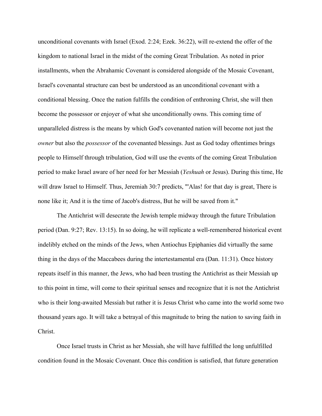unconditional covenants with Israel (Exod. 2:24; Ezek. 36:22), will re-extend the offer of the kingdom to national Israel in the midst of the coming Great Tribulation. As noted in prior installments, when the Abrahamic Covenant is considered alongside of the Mosaic Covenant, Israel's covenantal structure can best be understood as an unconditional covenant with a conditional blessing. Once the nation fulfills the condition of enthroning Christ, she will then become the possessor or enjoyer of what she unconditionally owns. This coming time of unparalleled distress is the means by which God's covenanted nation will become not just the *owner* but also the *possessor* of the covenanted blessings. Just as God today oftentimes brings people to Himself through tribulation, God will use the events of the coming Great Tribulation period to make Israel aware of her need for her Messiah (*Yeshuah* or Jesus). During this time, He will draw Israel to Himself. Thus, Jeremiah 30:7 predicts, "'Alas! for that day is great, There is none like it; And it is the time of Jacob's distress, But he will be saved from it."

The Antichrist will desecrate the Jewish temple midway through the future Tribulation period (Dan. 9:27; Rev. 13:15). In so doing, he will replicate a well-remembered historical event indelibly etched on the minds of the Jews, when Antiochus Epiphanies did virtually the same thing in the days of the Maccabees during the intertestamental era (Dan. 11:31). Once history repeats itself in this manner, the Jews, who had been trusting the Antichrist as their Messiah up to this point in time, will come to their spiritual senses and recognize that it is not the Antichrist who is their long-awaited Messiah but rather it is Jesus Christ who came into the world some two thousand years ago. It will take a betrayal of this magnitude to bring the nation to saving faith in Christ.

Once Israel trusts in Christ as her Messiah, she will have fulfilled the long unfulfilled condition found in the Mosaic Covenant. Once this condition is satisfied, that future generation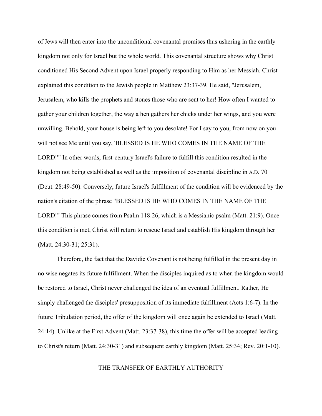of Jews will then enter into the unconditional covenantal promises thus ushering in the earthly kingdom not only for Israel but the whole world. This covenantal structure shows why Christ conditioned His Second Advent upon Israel properly responding to Him as her Messiah. Christ explained this condition to the Jewish people in Matthew 23:37-39. He said, "Jerusalem, Jerusalem, who kills the prophets and stones those who are sent to her! How often I wanted to gather your children together, the way a hen gathers her chicks under her wings, and you were unwilling. Behold, your house is being left to you desolate! For I say to you, from now on you will not see Me until you say, 'BLESSED IS HE WHO COMES IN THE NAME OF THE LORD!'" In other words, first-century Israel's failure to fulfill this condition resulted in the kingdom not being established as well as the imposition of covenantal discipline in A.D. 70 (Deut. 28:49-50). Conversely, future Israel's fulfillment of the condition will be evidenced by the nation's citation of the phrase "BLESSED IS HE WHO COMES IN THE NAME OF THE LORD!" This phrase comes from Psalm 118:26, which is a Messianic psalm (Matt. 21:9). Once this condition is met, Christ will return to rescue Israel and establish His kingdom through her (Matt. 24:30-31; 25:31).

Therefore, the fact that the Davidic Covenant is not being fulfilled in the present day in no wise negates its future fulfillment. When the disciples inquired as to when the kingdom would be restored to Israel, Christ never challenged the idea of an eventual fulfillment. Rather, He simply challenged the disciples' presupposition of its immediate fulfillment (Acts 1:6-7). In the future Tribulation period, the offer of the kingdom will once again be extended to Israel (Matt. 24:14). Unlike at the First Advent (Matt. 23:37-38), this time the offer will be accepted leading to Christ's return (Matt. 24:30-31) and subsequent earthly kingdom (Matt. 25:34; Rev. 20:1-10).

## THE TRANSFER OF EARTHLY AUTHORITY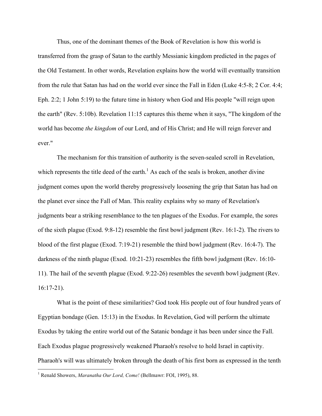Thus, one of the dominant themes of the Book of Revelation is how this world is transferred from the grasp of Satan to the earthly Messianic kingdom predicted in the pages of the Old Testament. In other words, Revelation explains how the world will eventually transition from the rule that Satan has had on the world ever since the Fall in Eden (Luke 4:5-8; 2 Cor. 4:4; Eph. 2:2; 1 John 5:19) to the future time in history when God and His people "will reign upon the earth" (Rev. 5:10b). Revelation 11:15 captures this theme when it says, "The kingdom of the world has become *the kingdom* of our Lord, and of His Christ; and He will reign forever and ever."

The mechanism for this transition of authority is the seven-sealed scroll in Revelation, which represents the title deed of the earth.<sup>1</sup> As each of the seals is broken, another divine judgment comes upon the world thereby progressively loosening the grip that Satan has had on the planet ever since the Fall of Man. This reality explains why so many of Revelation's judgments bear a striking resemblance to the ten plagues of the Exodus. For example, the sores of the sixth plague (Exod. 9:8-12) resemble the first bowl judgment (Rev. 16:1-2). The rivers to blood of the first plague (Exod. 7:19-21) resemble the third bowl judgment (Rev. 16:4-7). The darkness of the ninth plague (Exod. 10:21-23) resembles the fifth bowl judgment (Rev. 16:10- 11). The hail of the seventh plague (Exod. 9:22-26) resembles the seventh bowl judgment (Rev. 16:17-21).

What is the point of these similarities? God took His people out of four hundred years of Egyptian bondage (Gen. 15:13) in the Exodus. In Revelation, God will perform the ultimate Exodus by taking the entire world out of the Satanic bondage it has been under since the Fall. Each Exodus plague progressively weakened Pharaoh's resolve to hold Israel in captivity. Pharaoh's will was ultimately broken through the death of his first born as expressed in the tenth

 <sup>1</sup> Renald Showers, *Maranatha Our Lord, Come!* (Bellmawr: FOI, 1995), 88.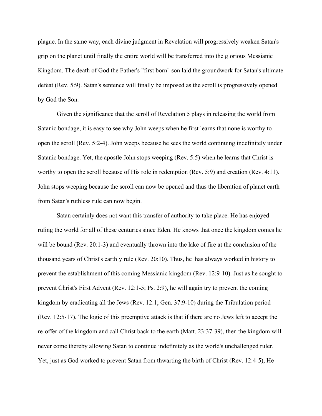plague. In the same way, each divine judgment in Revelation will progressively weaken Satan's grip on the planet until finally the entire world will be transferred into the glorious Messianic Kingdom. The death of God the Father's "first born" son laid the groundwork for Satan's ultimate defeat (Rev. 5:9). Satan's sentence will finally be imposed as the scroll is progressively opened by God the Son.

Given the significance that the scroll of Revelation 5 plays in releasing the world from Satanic bondage, it is easy to see why John weeps when he first learns that none is worthy to open the scroll (Rev. 5:2-4). John weeps because he sees the world continuing indefinitely under Satanic bondage. Yet, the apostle John stops weeping (Rev. 5:5) when he learns that Christ is worthy to open the scroll because of His role in redemption (Rev. 5:9) and creation (Rev. 4:11). John stops weeping because the scroll can now be opened and thus the liberation of planet earth from Satan's ruthless rule can now begin.

Satan certainly does not want this transfer of authority to take place. He has enjoyed ruling the world for all of these centuries since Eden. He knows that once the kingdom comes he will be bound (Rev. 20:1-3) and eventually thrown into the lake of fire at the conclusion of the thousand years of Christ's earthly rule (Rev. 20:10). Thus, he has always worked in history to prevent the establishment of this coming Messianic kingdom (Rev. 12:9-10). Just as he sought to prevent Christ's First Advent (Rev. 12:1-5; Ps. 2:9), he will again try to prevent the coming kingdom by eradicating all the Jews (Rev. 12:1; Gen. 37:9-10) during the Tribulation period (Rev. 12:5-17). The logic of this preemptive attack is that if there are no Jews left to accept the re-offer of the kingdom and call Christ back to the earth (Matt. 23:37-39), then the kingdom will never come thereby allowing Satan to continue indefinitely as the world's unchallenged ruler. Yet, just as God worked to prevent Satan from thwarting the birth of Christ (Rev. 12:4-5), He